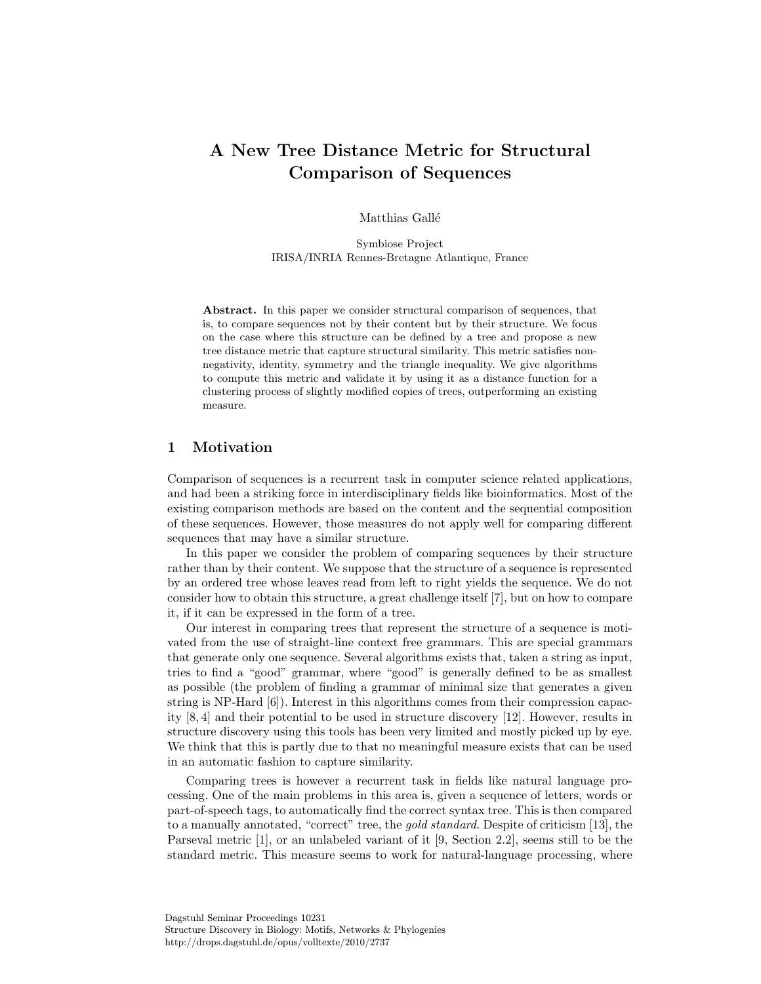# A New Tree Distance Metric for Structural Comparison of Sequences

Matthias Gallé

Symbiose Project IRISA/INRIA Rennes-Bretagne Atlantique, France

Abstract. In this paper we consider structural comparison of sequences, that is, to compare sequences not by their content but by their structure. We focus on the case where this structure can be defined by a tree and propose a new tree distance metric that capture structural similarity. This metric satisfies nonnegativity, identity, symmetry and the triangle inequality. We give algorithms to compute this metric and validate it by using it as a distance function for a clustering process of slightly modified copies of trees, outperforming an existing measure.

# 1 Motivation

Comparison of sequences is a recurrent task in computer science related applications, and had been a striking force in interdisciplinary fields like bioinformatics. Most of the existing comparison methods are based on the content and the sequential composition of these sequences. However, those measures do not apply well for comparing different sequences that may have a similar structure.

In this paper we consider the problem of comparing sequences by their structure rather than by their content. We suppose that the structure of a sequence is represented by an ordered tree whose leaves read from left to right yields the sequence. We do not consider how to obtain this structure, a great challenge itself [7], but on how to compare it, if it can be expressed in the form of a tree.

Our interest in comparing trees that represent the structure of a sequence is motivated from the use of straight-line context free grammars. This are special grammars that generate only one sequence. Several algorithms exists that, taken a string as input, tries to find a "good" grammar, where "good" is generally defined to be as smallest as possible (the problem of finding a grammar of minimal size that generates a given string is NP-Hard [6]). Interest in this algorithms comes from their compression capacity [8, 4] and their potential to be used in structure discovery [12]. However, results in structure discovery using this tools has been very limited and mostly picked up by eye. We think that this is partly due to that no meaningful measure exists that can be used in an automatic fashion to capture similarity.

Comparing trees is however a recurrent task in fields like natural language processing. One of the main problems in this area is, given a sequence of letters, words or part-of-speech tags, to automatically find the correct syntax tree. This is then compared to a manually annotated, "correct" tree, the gold standard. Despite of criticism [13], the Parseval metric [1], or an unlabeled variant of it [9, Section 2.2], seems still to be the standard metric. This measure seems to work for natural-language processing, where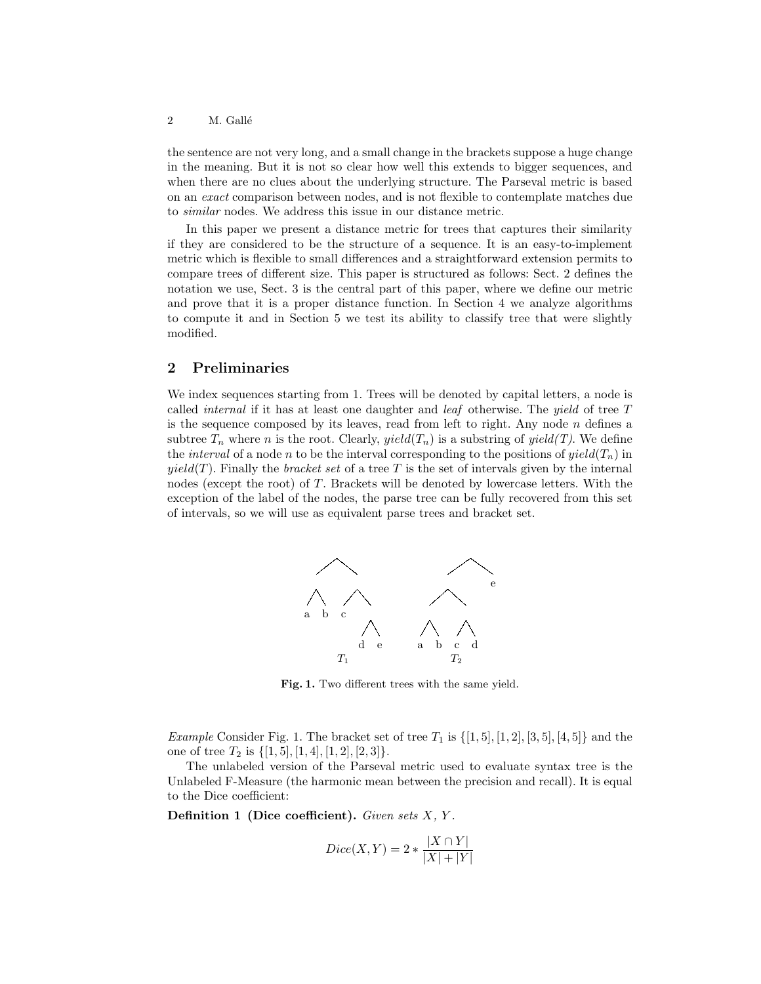the sentence are not very long, and a small change in the brackets suppose a huge change in the meaning. But it is not so clear how well this extends to bigger sequences, and when there are no clues about the underlying structure. The Parseval metric is based on an exact comparison between nodes, and is not flexible to contemplate matches due to similar nodes. We address this issue in our distance metric.

In this paper we present a distance metric for trees that captures their similarity if they are considered to be the structure of a sequence. It is an easy-to-implement metric which is flexible to small differences and a straightforward extension permits to compare trees of different size. This paper is structured as follows: Sect. 2 defines the notation we use, Sect. 3 is the central part of this paper, where we define our metric and prove that it is a proper distance function. In Section 4 we analyze algorithms to compute it and in Section 5 we test its ability to classify tree that were slightly modified.

# 2 Preliminaries

We index sequences starting from 1. Trees will be denoted by capital letters, a node is called *internal* if it has at least one daughter and *leaf* otherwise. The *yield* of tree  $T$ is the sequence composed by its leaves, read from left to right. Any node  $n$  defines a subtree  $T_n$  where n is the root. Clearly, yield( $T_n$ ) is a substring of yield(T). We define the *interval* of a node n to be the interval corresponding to the positions of  $yield(T_n)$  in  $yield(T)$ . Finally the *bracket set* of a tree T is the set of intervals given by the internal nodes (except the root) of T. Brackets will be denoted by lowercase letters. With the exception of the label of the nodes, the parse tree can be fully recovered from this set of intervals, so we will use as equivalent parse trees and bracket set.



Fig. 1. Two different trees with the same yield.

*Example* Consider Fig. 1. The bracket set of tree  $T_1$  is  $\{[1,5], [1,2], [3,5], [4,5]\}$  and the one of tree  $T_2$  is  $\{[1,5], [1,4], [1,2], [2,3]\}.$ 

The unlabeled version of the Parseval metric used to evaluate syntax tree is the Unlabeled F-Measure (the harmonic mean between the precision and recall). It is equal to the Dice coefficient:

Definition 1 (Dice coefficient). Given sets  $X, Y$ .

$$
Dice(X, Y) = 2 * \frac{|X \cap Y|}{|X| + |Y|}
$$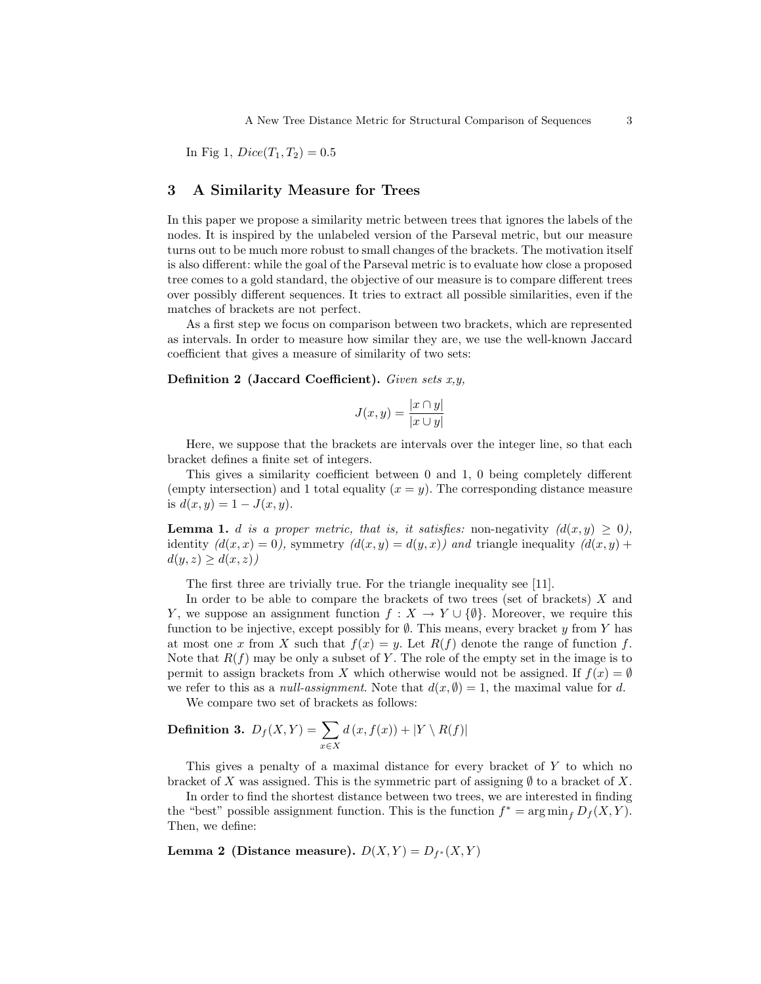In Fig 1,  $Dice(T_1, T_2) = 0.5$ 

# 3 A Similarity Measure for Trees

In this paper we propose a similarity metric between trees that ignores the labels of the nodes. It is inspired by the unlabeled version of the Parseval metric, but our measure turns out to be much more robust to small changes of the brackets. The motivation itself is also different: while the goal of the Parseval metric is to evaluate how close a proposed tree comes to a gold standard, the objective of our measure is to compare different trees over possibly different sequences. It tries to extract all possible similarities, even if the matches of brackets are not perfect.

As a first step we focus on comparison between two brackets, which are represented as intervals. In order to measure how similar they are, we use the well-known Jaccard coefficient that gives a measure of similarity of two sets:

Definition 2 (Jaccard Coefficient). Given sets  $x, y$ ,

$$
J(x,y) = \frac{|x \cap y|}{|x \cup y|}
$$

Here, we suppose that the brackets are intervals over the integer line, so that each bracket defines a finite set of integers.

This gives a similarity coefficient between 0 and 1, 0 being completely different (empty intersection) and 1 total equality  $(x = y)$ . The corresponding distance measure is  $d(x, y) = 1 - J(x, y)$ .

**Lemma 1.** d is a proper metric, that is, it satisfies: non-negativity  $(d(x, y) \geq 0)$ , identity  $(d(x, x) = 0)$ , symmetry  $(d(x, y) = d(y, x))$  and triangle inequality  $(d(x, y) +$  $d(y, z) \geq d(x, z)$ 

The first three are trivially true. For the triangle inequality see [11].

In order to be able to compare the brackets of two trees (set of brackets)  $X$  and Y, we suppose an assignment function  $f: X \to Y \cup \{\emptyset\}$ . Moreover, we require this function to be injective, except possibly for  $\emptyset$ . This means, every bracket y from Y has at most one x from X such that  $f(x) = y$ . Let  $R(f)$  denote the range of function f. Note that  $R(f)$  may be only a subset of Y. The role of the empty set in the image is to permit to assign brackets from X which otherwise would not be assigned. If  $f(x) = \emptyset$ we refer to this as a *null-assignment*. Note that  $d(x, \emptyset) = 1$ , the maximal value for d.

We compare two set of brackets as follows:

**Definition 3.** 
$$
D_f(X, Y) = \sum_{x \in X} d(x, f(x)) + |Y \setminus R(f)|
$$

This gives a penalty of a maximal distance for every bracket of Y to which no bracket of X was assigned. This is the symmetric part of assigning  $\emptyset$  to a bracket of X.

In order to find the shortest distance between two trees, we are interested in finding the "best" possible assignment function. This is the function  $f^* = \arg \min_f D_f(X, Y)$ . Then, we define:

Lemma 2 (Distance measure).  $D(X,Y) = D_{f^*}(X,Y)$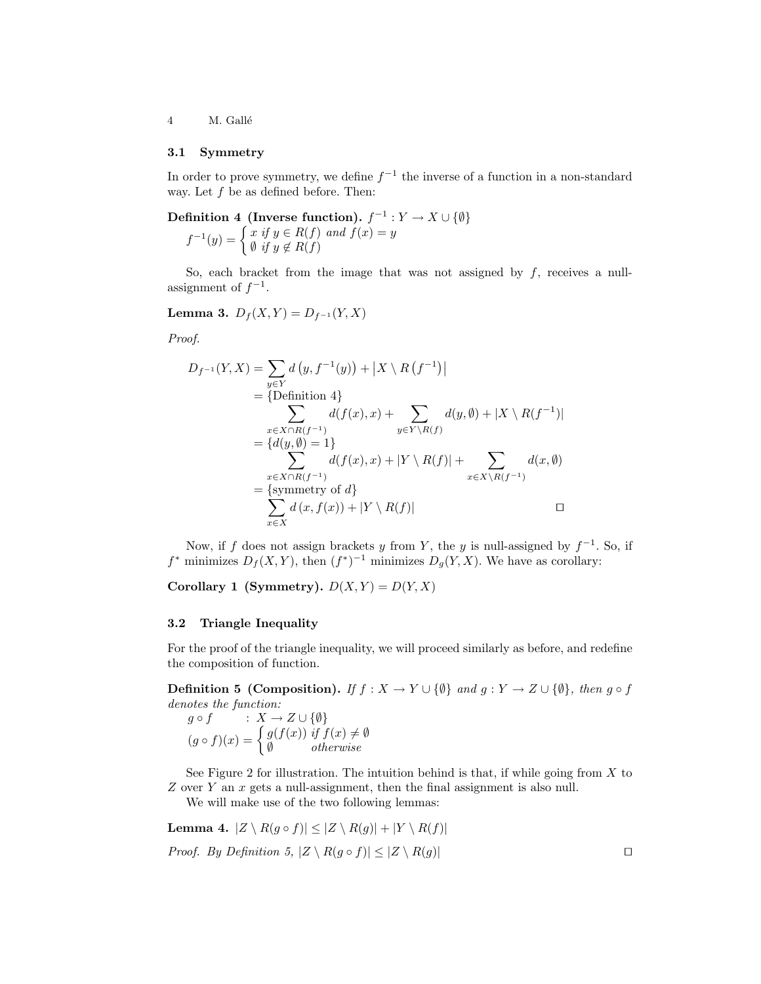4 M. Gallé

#### 3.1 Symmetry

In order to prove symmetry, we define  $f^{-1}$  the inverse of a function in a non-standard way. Let  $f$  be as defined before. Then:

Definition 4 (Inverse function).  $f^{-1}: Y \to X \cup \{\emptyset\}$  $f^{-1}(y) = \begin{cases} x & \text{if } y \in R(f) \text{ and } f(x) = y \\ 0 & \text{if } y \in R(f) \end{cases}$  $\emptyset$  if  $y \notin R(f)$ 

So, each bracket from the image that was not assigned by  $f$ , receives a nullassignment of  $f^{-1}$ .

Lemma 3.  $D_f(X, Y) = D_{f^{-1}}(Y, X)$ 

Proof.

$$
D_{f^{-1}}(Y,X) = \sum_{y \in Y} d(y, f^{-1}(y)) + |X \setminus R(f^{-1})|
$$
  
\n
$$
= \{ \text{Definition 4} \}
$$
  
\n
$$
\sum_{x \in X \cap R(f^{-1})} d(f(x), x) + \sum_{y \in Y \setminus R(f)} d(y, \emptyset) + |X \setminus R(f^{-1})|
$$
  
\n
$$
= \{ d(y, \emptyset) = 1 \}
$$
  
\n
$$
\sum_{x \in X \cap R(f^{-1})} d(f(x), x) + |Y \setminus R(f)| + \sum_{x \in X \setminus R(f^{-1})} d(x, \emptyset)
$$
  
\n
$$
= \{\text{symmetry of } d\}
$$
  
\n
$$
\sum_{x \in X} d(x, f(x)) + |Y \setminus R(f)|
$$

Now, if f does not assign brackets y from Y, the y is null-assigned by  $f^{-1}$ . So, if  $f^*$  minimizes  $D_f(X, Y)$ , then  $(f^*)^{-1}$  minimizes  $D_g(Y, X)$ . We have as corollary:

Corollary 1 (Symmetry).  $D(X, Y) = D(Y, X)$ 

#### 3.2 Triangle Inequality

For the proof of the triangle inequality, we will proceed similarly as before, and redefine the composition of function.

**Definition 5 (Composition).** If  $f : X \to Y \cup \{\emptyset\}$  and  $g : Y \to Z \cup \{\emptyset\}$ , then  $g \circ f$ denotes the function:

 $g \circ f \qquad : X \to Z \cup \{\emptyset\}$  $(g \circ f)(x) = \begin{cases} g(f(x)) & \text{if } f(x) \neq \emptyset \\ g(x) & \text{if } f(x) \neq \emptyset \end{cases}$ ∅ otherwise

See Figure 2 for illustration. The intuition behind is that, if while going from  $X$  to Z over Y an x gets a null-assignment, then the final assignment is also null.

We will make use of the two following lemmas:

Lemma 4.  $|Z \setminus R(g \circ f)| \leq |Z \setminus R(g)| + |Y \setminus R(f)|$ *Proof.* By Definition 5,  $|Z \setminus R(g \circ f)| \leq |Z \setminus R(g)|$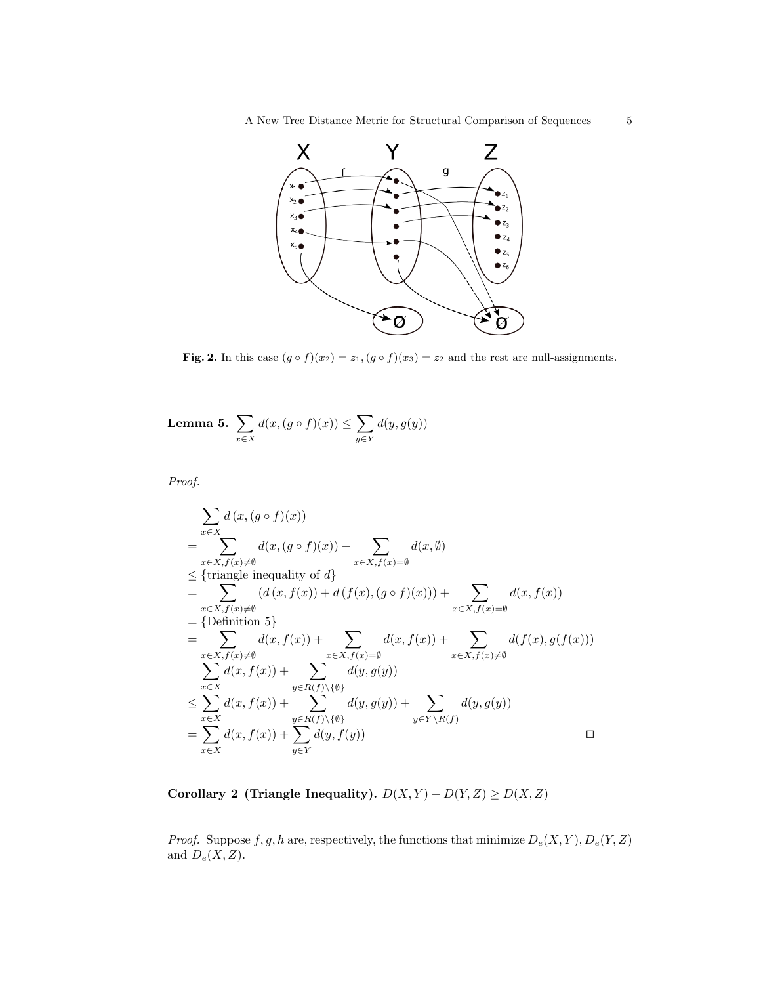

Fig. 2. In this case  $(g \circ f)(x_2) = z_1$ ,  $(g \circ f)(x_3) = z_2$  and the rest are null-assignments.

Lemma 5.  $\sum$ x∈X  $d(x, (g \circ f)(x)) \leq \sum$ y∈Y  $d(y, g(y))$ 

Proof.

$$
\sum_{x \in X} d(x, (g \circ f)(x))
$$
\n
$$
= \sum_{x \in X, f(x) \neq \emptyset} d(x, (g \circ f)(x)) + \sum_{x \in X, f(x) = \emptyset} d(x, \emptyset)
$$
\n
$$
\leq \{\text{triangle inequality of } d\}
$$
\n
$$
= \sum_{x \in X, f(x) \neq \emptyset} (d(x, f(x)) + d(f(x), (g \circ f)(x))) + \sum_{x \in X, f(x) = \emptyset} d(x, f(x))
$$
\n
$$
= \{\text{Definition 5}\}
$$
\n
$$
= \sum_{x \in X, f(x) \neq \emptyset} d(x, f(x)) + \sum_{x \in X, f(x) = \emptyset} d(x, f(x)) + \sum_{x \in X, f(x) \neq \emptyset} d(f(x), g(f(x)))
$$
\n
$$
\leq \sum_{x \in X} d(x, f(x)) + \sum_{y \in R(f) \setminus \{\emptyset\}} d(y, g(y))
$$
\n
$$
= \sum_{x \in X} d(x, f(x)) + \sum_{y \in R(f) \setminus \{\emptyset\}} d(y, g(y)) + \sum_{y \in Y \setminus R(f)} d(y, g(y))
$$
\n
$$
= \sum_{x \in X} d(x, f(x)) + \sum_{y \in Y} d(y, f(y))
$$

Corollary 2 (Triangle Inequality).  $D(X, Y) + D(Y, Z) \ge D(X, Z)$ 

*Proof.* Suppose  $f, g, h$  are, respectively, the functions that minimize  $D_e(X, Y), D_e(Y, Z)$ and  $D_e(X, Z)$ .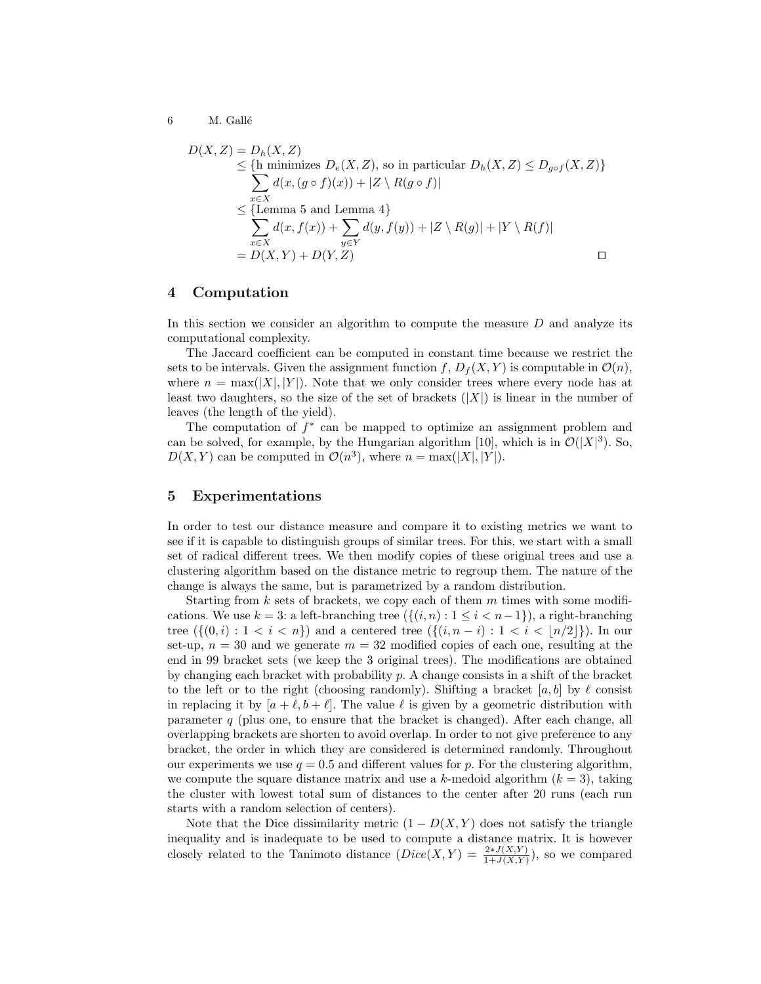6 M. Gallé

$$
D(X, Z) = D_h(X, Z)
$$
  
\n
$$
\leq \{h \text{ minimizes } D_e(X, Z), \text{ so in particular } D_h(X, Z) \leq D_{g \circ f}(X, Z) \}
$$
  
\n
$$
\sum_{x \in X} d(x, (g \circ f)(x)) + |Z \setminus R(g \circ f)|
$$
  
\n
$$
\leq \{\text{Lemma 5 and Lemma 4}\}
$$
  
\n
$$
\sum_{x \in X} d(x, f(x)) + \sum_{y \in Y} d(y, f(y)) + |Z \setminus R(g)| + |Y \setminus R(f)|
$$
  
\n
$$
= D(X, Y) + D(Y, Z)
$$

## 4 Computation

In this section we consider an algorithm to compute the measure  $D$  and analyze its computational complexity.

The Jaccard coefficient can be computed in constant time because we restrict the sets to be intervals. Given the assignment function  $f, D_f(X, Y)$  is computable in  $\mathcal{O}(n)$ , where  $n = \max(|X|, |Y|)$ . Note that we only consider trees where every node has at least two daughters, so the size of the set of brackets  $(|X|)$  is linear in the number of leaves (the length of the yield).

The computation of  $f^*$  can be mapped to optimize an assignment problem and can be solved, for example, by the Hungarian algorithm [10], which is in  $\mathcal{O}(|X|^3)$ . So,  $D(X, Y)$  can be computed in  $\mathcal{O}(n^3)$ , where  $n = \max(|X|, |Y|)$ .

## 5 Experimentations

In order to test our distance measure and compare it to existing metrics we want to see if it is capable to distinguish groups of similar trees. For this, we start with a small set of radical different trees. We then modify copies of these original trees and use a clustering algorithm based on the distance metric to regroup them. The nature of the change is always the same, but is parametrized by a random distribution.

Starting from  $k$  sets of brackets, we copy each of them  $m$  times with some modifications. We use  $k = 3$ : a left-branching tree  $(\{(i, n) : 1 \le i \le n-1\})$ , a right-branching tree  $({0, i) : 1 < i < n}$  and a centered tree  $({0, i) : 1 < i < |n/2|}$ . In our set-up,  $n = 30$  and we generate  $m = 32$  modified copies of each one, resulting at the end in 99 bracket sets (we keep the 3 original trees). The modifications are obtained by changing each bracket with probability  $p$ . A change consists in a shift of the bracket to the left or to the right (choosing randomly). Shifting a bracket  $[a, b]$  by  $\ell$  consist in replacing it by  $[a + \ell, b + \ell]$ . The value  $\ell$  is given by a geometric distribution with parameter  $q$  (plus one, to ensure that the bracket is changed). After each change, all overlapping brackets are shorten to avoid overlap. In order to not give preference to any bracket, the order in which they are considered is determined randomly. Throughout our experiments we use  $q = 0.5$  and different values for p. For the clustering algorithm, we compute the square distance matrix and use a k-medoid algorithm  $(k = 3)$ , taking the cluster with lowest total sum of distances to the center after 20 runs (each run starts with a random selection of centers).

Note that the Dice dissimilarity metric  $(1 - D(X, Y))$  does not satisfy the triangle inequality and is inadequate to be used to compute a distance matrix. It is however closely related to the Tanimoto distance  $(Dice(X, Y) = \frac{2 * J(X, Y)}{1+J(X, Y)})$ , so we compared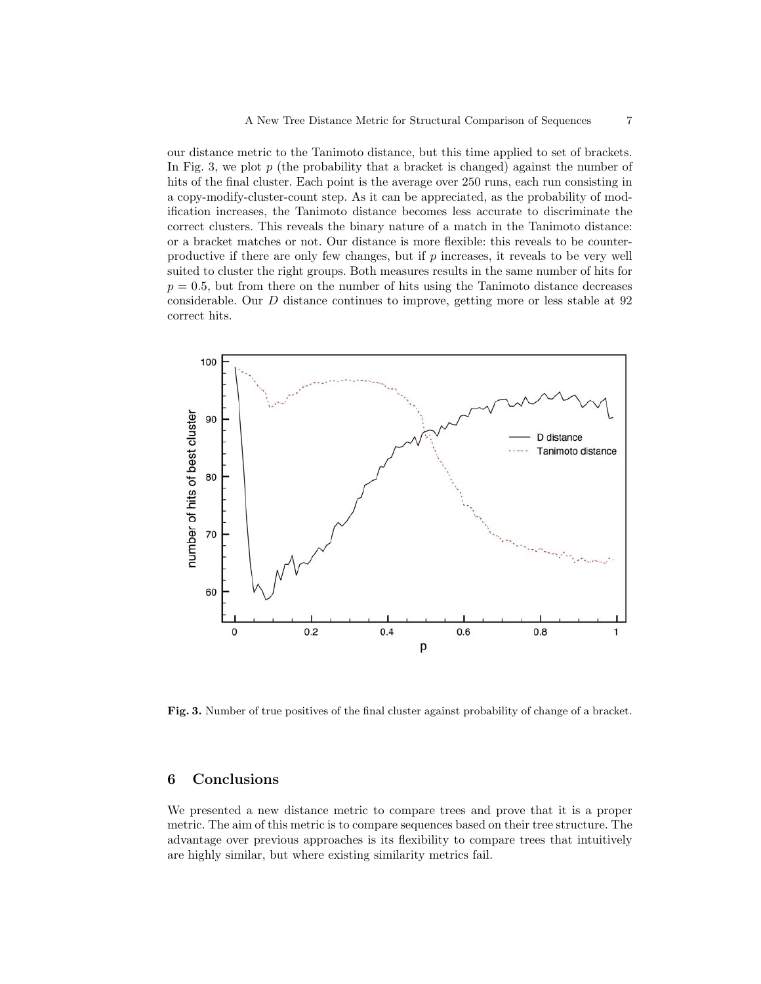our distance metric to the Tanimoto distance, but this time applied to set of brackets. In Fig. 3, we plot  $p$  (the probability that a bracket is changed) against the number of hits of the final cluster. Each point is the average over 250 runs, each run consisting in a copy-modify-cluster-count step. As it can be appreciated, as the probability of modification increases, the Tanimoto distance becomes less accurate to discriminate the correct clusters. This reveals the binary nature of a match in the Tanimoto distance: or a bracket matches or not. Our distance is more flexible: this reveals to be counterproductive if there are only few changes, but if p increases, it reveals to be very well suited to cluster the right groups. Both measures results in the same number of hits for  $p = 0.5$ , but from there on the number of hits using the Tanimoto distance decreases considerable. Our D distance continues to improve, getting more or less stable at 92 correct hits.



Fig. 3. Number of true positives of the final cluster against probability of change of a bracket.

# 6 Conclusions

We presented a new distance metric to compare trees and prove that it is a proper metric. The aim of this metric is to compare sequences based on their tree structure. The advantage over previous approaches is its flexibility to compare trees that intuitively are highly similar, but where existing similarity metrics fail.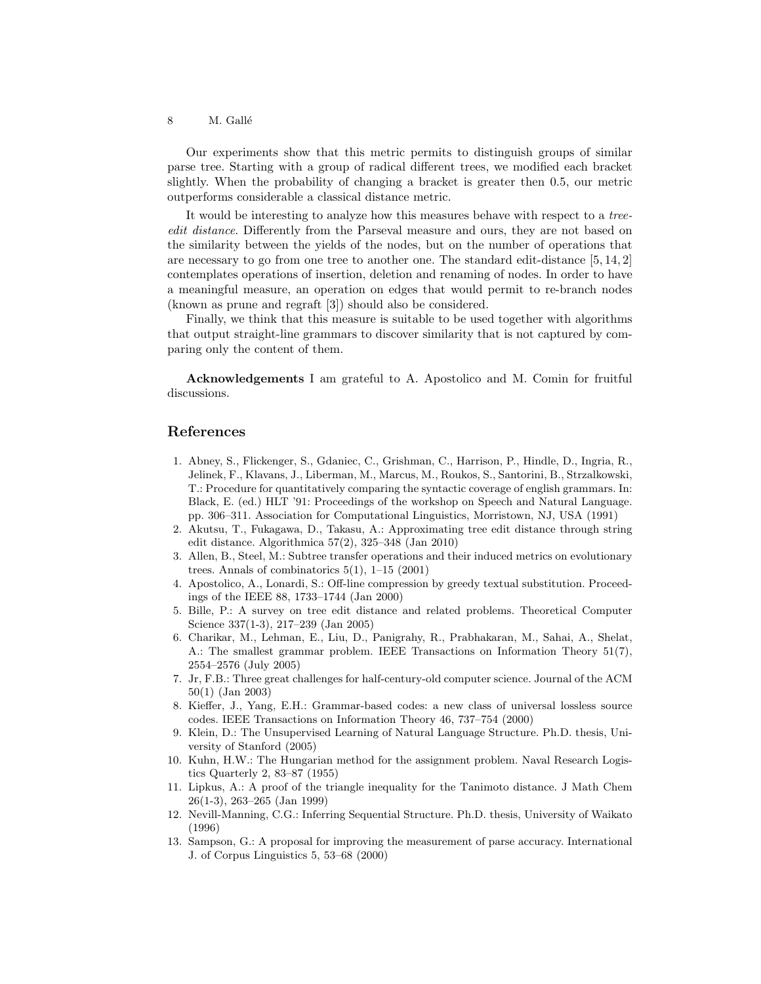#### 8 M. Gallé

Our experiments show that this metric permits to distinguish groups of similar parse tree. Starting with a group of radical different trees, we modified each bracket slightly. When the probability of changing a bracket is greater then 0.5, our metric outperforms considerable a classical distance metric.

It would be interesting to analyze how this measures behave with respect to a treeedit distance. Differently from the Parseval measure and ours, they are not based on the similarity between the yields of the nodes, but on the number of operations that are necessary to go from one tree to another one. The standard edit-distance [5, 14, 2] contemplates operations of insertion, deletion and renaming of nodes. In order to have a meaningful measure, an operation on edges that would permit to re-branch nodes (known as prune and regraft [3]) should also be considered.

Finally, we think that this measure is suitable to be used together with algorithms that output straight-line grammars to discover similarity that is not captured by comparing only the content of them.

Acknowledgements I am grateful to A. Apostolico and M. Comin for fruitful discussions.

### References

- 1. Abney, S., Flickenger, S., Gdaniec, C., Grishman, C., Harrison, P., Hindle, D., Ingria, R., Jelinek, F., Klavans, J., Liberman, M., Marcus, M., Roukos, S., Santorini, B., Strzalkowski, T.: Procedure for quantitatively comparing the syntactic coverage of english grammars. In: Black, E. (ed.) HLT '91: Proceedings of the workshop on Speech and Natural Language. pp. 306–311. Association for Computational Linguistics, Morristown, NJ, USA (1991)
- 2. Akutsu, T., Fukagawa, D., Takasu, A.: Approximating tree edit distance through string edit distance. Algorithmica 57(2), 325–348 (Jan 2010)
- 3. Allen, B., Steel, M.: Subtree transfer operations and their induced metrics on evolutionary trees. Annals of combinatorics  $5(1)$ ,  $1-15$   $(2001)$
- 4. Apostolico, A., Lonardi, S.: Off-line compression by greedy textual substitution. Proceedings of the IEEE 88, 1733–1744 (Jan 2000)
- 5. Bille, P.: A survey on tree edit distance and related problems. Theoretical Computer Science 337(1-3), 217–239 (Jan 2005)
- 6. Charikar, M., Lehman, E., Liu, D., Panigrahy, R., Prabhakaran, M., Sahai, A., Shelat, A.: The smallest grammar problem. IEEE Transactions on Information Theory 51(7), 2554–2576 (July 2005)
- 7. Jr, F.B.: Three great challenges for half-century-old computer science. Journal of the ACM 50(1) (Jan 2003)
- 8. Kieffer, J., Yang, E.H.: Grammar-based codes: a new class of universal lossless source codes. IEEE Transactions on Information Theory 46, 737–754 (2000)
- 9. Klein, D.: The Unsupervised Learning of Natural Language Structure. Ph.D. thesis, University of Stanford (2005)
- 10. Kuhn, H.W.: The Hungarian method for the assignment problem. Naval Research Logistics Quarterly 2, 83–87 (1955)
- 11. Lipkus, A.: A proof of the triangle inequality for the Tanimoto distance. J Math Chem 26(1-3), 263–265 (Jan 1999)
- 12. Nevill-Manning, C.G.: Inferring Sequential Structure. Ph.D. thesis, University of Waikato (1996)
- 13. Sampson, G.: A proposal for improving the measurement of parse accuracy. International J. of Corpus Linguistics 5, 53–68 (2000)